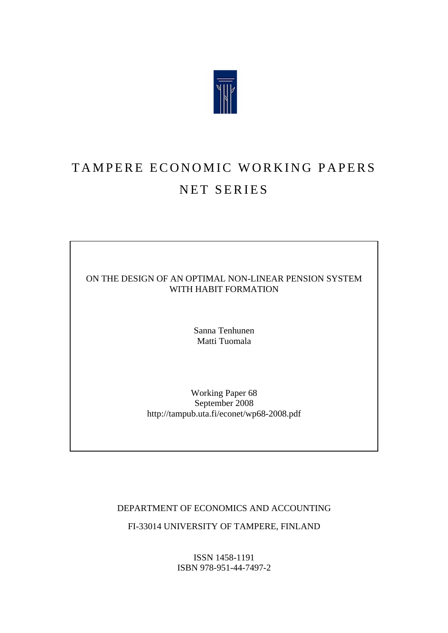

## TAMPERE ECONOMIC WORKING PAPERS NET SERIES

### ON THE DESIGN OF AN OPTIMAL NON-LINEAR PENSION SYSTEM WITH HABIT FORMATION

Sanna Tenhunen Matti Tuomala

Working Paper 68 September 2008 http://tampub.uta.fi/econet/wp68-2008.pdf

DEPARTMENT OF ECONOMICS AND ACCOUNTING

FI-33014 UNIVERSITY OF TAMPERE, FINLAND

ISSN 1458-1191 ISBN 978-951-44-7497-2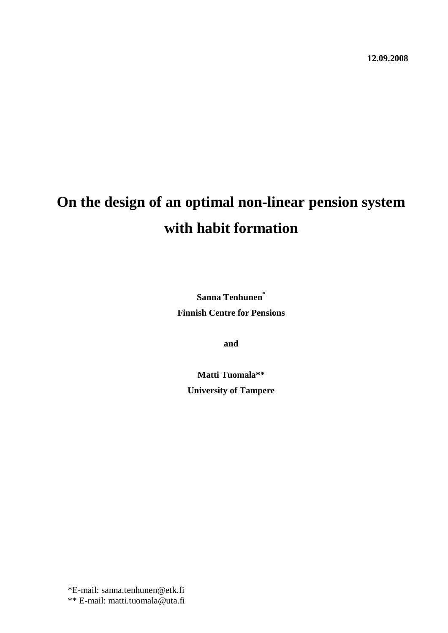# **On the design of an optimal non-linear pension system with habit formation**

**Sanna Tenhunen\* Finnish Centre for Pensions**

**and**

**Matti Tuomala\*\* University of Tampere**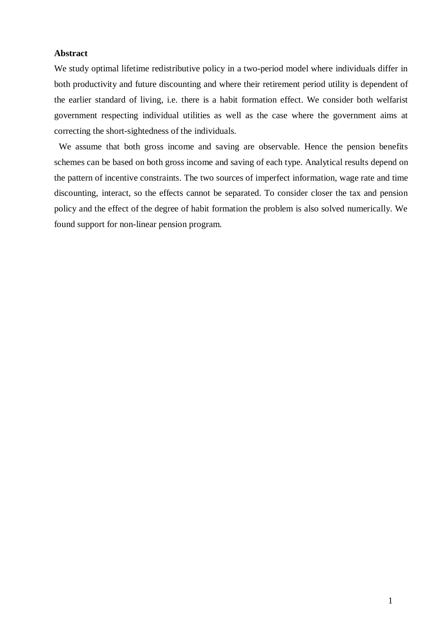#### **Abstract**

We study optimal lifetime redistributive policy in a two-period model where individuals differ in both productivity and future discounting and where their retirement period utility is dependent of the earlier standard of living, i.e. there is a habit formation effect. We consider both welfarist government respecting individual utilities as well as the case where the government aims at correcting the short-sightedness of the individuals.

 We assume that both gross income and saving are observable. Hence the pension benefits schemes can be based on both gross income and saving of each type. Analytical results depend on the pattern of incentive constraints. The two sources of imperfect information, wage rate and time discounting, interact, so the effects cannot be separated. To consider closer the tax and pension policy and the effect of the degree of habit formation the problem is also solved numerically. We found support for non-linear pension program.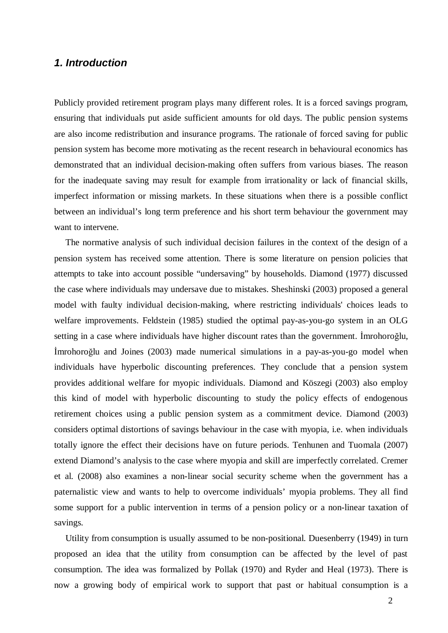## *1. Introduction*

Publicly provided retirement program plays many different roles. It is a forced savings program, ensuring that individuals put aside sufficient amounts for old days. The public pension systems are also income redistribution and insurance programs. The rationale of forced saving for public pension system has become more motivating as the recent research in behavioural economics has demonstrated that an individual decision-making often suffers from various biases. The reason for the inadequate saving may result for example from irrationality or lack of financial skills, imperfect information or missing markets. In these situations when there is a possible conflict between an individual's long term preference and his short term behaviour the government may want to intervene.

 The normative analysis of such individual decision failures in the context of the design of a pension system has received some attention. There is some literature on pension policies that attempts to take into account possible "undersaving" by households. Diamond (1977) discussed the case where individuals may undersave due to mistakes. Sheshinski (2003) proposed a general model with faulty individual decision-making, where restricting individuals' choices leads to welfare improvements. Feldstein (1985) studied the optimal pay-as-you-go system in an OLG setting in a case where individuals have higher discount rates than the government. Imrohoroğlu, Imrohoroğlu and Joines (2003) made numerical simulations in a pay-as-you-go model when individuals have hyperbolic discounting preferences. They conclude that a pension system provides additional welfare for myopic individuals. Diamond and Köszegi (2003) also employ this kind of model with hyperbolic discounting to study the policy effects of endogenous retirement choices using a public pension system as a commitment device. Diamond (2003) considers optimal distortions of savings behaviour in the case with myopia, i.e. when individuals totally ignore the effect their decisions have on future periods. Tenhunen and Tuomala (2007) extend Diamond's analysis to the case where myopia and skill are imperfectly correlated. Cremer et al. (2008) also examines a non-linear social security scheme when the government has a paternalistic view and wants to help to overcome individuals' myopia problems. They all find some support for a public intervention in terms of a pension policy or a non-linear taxation of savings.

 Utility from consumption is usually assumed to be non-positional. Duesenberry (1949) in turn proposed an idea that the utility from consumption can be affected by the level of past consumption. The idea was formalized by Pollak (1970) and Ryder and Heal (1973). There is now a growing body of empirical work to support that past or habitual consumption is a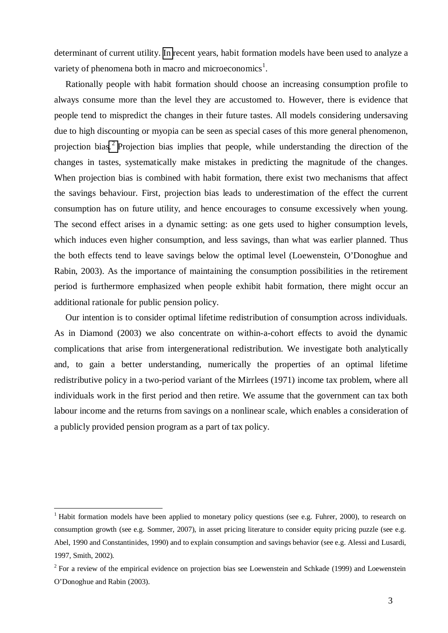determinant of current utility. [In r](#page-4-0)ecent years, habit formation models have been used to analyze a variety of phenomena both in macro and microeconomics<sup>1</sup>.

 Rationally people with habit formation should choose an increasing consumption profile to always consume more than the level they are accustomed to. However, there is evidence that people tend to mispredict the changes in their future tastes. All models considering undersaving due to high discounting or myopia can be seen as special cases of this more general phenomenon, projection bias.<sup>2</sup> [P](#page-4-1)rojection bias implies that people, while understanding the direction of the changes in tastes, systematically make mistakes in predicting the magnitude of the changes. When projection bias is combined with habit formation, there exist two mechanisms that affect the savings behaviour. First, projection bias leads to underestimation of the effect the current consumption has on future utility, and hence encourages to consume excessively when young. The second effect arises in a dynamic setting: as one gets used to higher consumption levels, which induces even higher consumption, and less savings, than what was earlier planned. Thus the both effects tend to leave savings below the optimal level (Loewenstein, O'Donoghue and Rabin, 2003). As the importance of maintaining the consumption possibilities in the retirement period is furthermore emphasized when people exhibit habit formation, there might occur an additional rationale for public pension policy.

 Our intention is to consider optimal lifetime redistribution of consumption across individuals. As in Diamond (2003) we also concentrate on within-a-cohort effects to avoid the dynamic complications that arise from intergenerational redistribution. We investigate both analytically and, to gain a better understanding, numerically the properties of an optimal lifetime redistributive policy in a two-period variant of the Mirrlees (1971) income tax problem, where all individuals work in the first period and then retire. We assume that the government can tax both labour income and the returns from savings on a nonlinear scale, which enables a consideration of a publicly provided pension program as a part of tax policy.

<span id="page-4-0"></span><sup>&</sup>lt;sup>1</sup> Habit formation models have been applied to monetary policy questions (see e.g. Fuhrer, 2000), to research on consumption growth (see e.g. Sommer, 2007), in asset pricing literature to consider equity pricing puzzle (see e.g. Abel, 1990 and Constantinides, 1990) and to explain consumption and savings behavior (see e.g. Alessi and Lusardi, 1997, Smith, 2002).

<span id="page-4-1"></span> $2$  For a review of the empirical evidence on projection bias see Loewenstein and Schkade (1999) and Loewenstein O'Donoghue and Rabin (2003).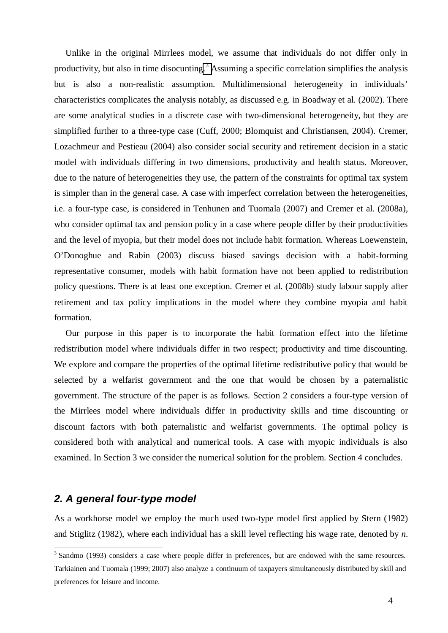Unlike in the original Mirrlees model, we assume that individuals do not differ only in productivity, but also in time disocunting.<sup>3</sup> [A](#page-5-0)ssuming a specific correlation simplifies the analysis but is also a non-realistic assumption. Multidimensional heterogeneity in individuals' characteristics complicates the analysis notably, as discussed e.g. in Boadway et al. (2002). There are some analytical studies in a discrete case with two-dimensional heterogeneity, but they are simplified further to a three-type case (Cuff, 2000; Blomquist and Christiansen, 2004). Cremer, Lozachmeur and Pestieau (2004) also consider social security and retirement decision in a static model with individuals differing in two dimensions, productivity and health status. Moreover, due to the nature of heterogeneities they use, the pattern of the constraints for optimal tax system is simpler than in the general case. A case with imperfect correlation between the heterogeneities, i.e. a four-type case, is considered in Tenhunen and Tuomala (2007) and Cremer et al. (2008a), who consider optimal tax and pension policy in a case where people differ by their productivities and the level of myopia, but their model does not include habit formation. Whereas Loewenstein, O'Donoghue and Rabin (2003) discuss biased savings decision with a habit-forming representative consumer, models with habit formation have not been applied to redistribution policy questions. There is at least one exception. Cremer et al. (2008b) study labour supply after retirement and tax policy implications in the model where they combine myopia and habit formation.

 Our purpose in this paper is to incorporate the habit formation effect into the lifetime redistribution model where individuals differ in two respect; productivity and time discounting. We explore and compare the properties of the optimal lifetime redistributive policy that would be selected by a welfarist government and the one that would be chosen by a paternalistic government. The structure of the paper is as follows. Section 2 considers a four-type version of the Mirrlees model where individuals differ in productivity skills and time discounting or discount factors with both paternalistic and welfarist governments. The optimal policy is considered both with analytical and numerical tools. A case with myopic individuals is also examined. In Section 3 we consider the numerical solution for the problem. Section 4 concludes.

## *2. A general four-type model*

As a workhorse model we employ the much used two-type model first applied by Stern (1982) and Stiglitz (1982), where each individual has a skill level reflecting his wage rate, denoted by *n*.

<span id="page-5-0"></span><sup>&</sup>lt;sup>3</sup> Sandmo (1993) considers a case where people differ in preferences, but are endowed with the same resources. Tarkiainen and Tuomala (1999; 2007) also analyze a continuum of taxpayers simultaneously distributed by skill and preferences for leisure and income.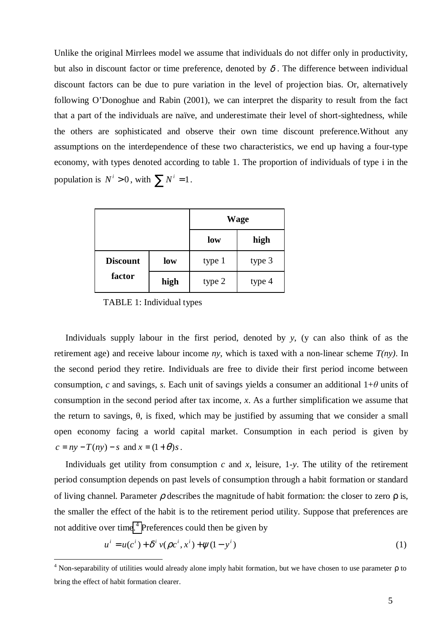Unlike the original Mirrlees model we assume that individuals do not differ only in productivity, but also in discount factor or time preference, denoted by  $\delta$ . The difference between individual discount factors can be due to pure variation in the level of projection bias. Or, alternatively following O'Donoghue and Rabin (2001), we can interpret the disparity to result from the fact that a part of the individuals are naïve, and underestimate their level of short-sightedness, while the others are sophisticated and observe their own time discount preference.Without any assumptions on the interdependence of these two characteristics, we end up having a four-type economy, with types denoted according to table 1. The proportion of individuals of type i in the population is  $N^i > 0$ , with  $\sum N^i = 1$ .

|                           |      |        | <b>Wage</b> |
|---------------------------|------|--------|-------------|
|                           |      | low    | high        |
| <b>Discount</b><br>factor | low  | type 1 | type 3      |
|                           | high | type 2 | type 4      |

TABLE 1: Individual types

 Individuals supply labour in the first period, denoted by *y*, (y can also think of as the retirement age) and receive labour income *ny*, which is taxed with a non-linear scheme *T(ny)*. In the second period they retire. Individuals are free to divide their first period income between consumption, *c* and savings, *s*. Each unit of savings yields a consumer an additional  $1+\theta$  units of consumption in the second period after tax income, *x*. As a further simplification we assume that the return to savings,  $\theta$ , is fixed, which may be justified by assuming that we consider a small open economy facing a world capital market. Consumption in each period is given by  $c = ny - T(ny) - s$  and  $x = (1 + \theta)s$ .

Individuals get utility from consumption  $c$  and  $x$ , leisure, 1- $y$ . The utility of the retirement period consumption depends on past levels of consumption through a habit formation or standard of living channel. Parameter  $\rho$  describes the magnitude of habit formation: the closer to zero  $\rho$  is, the smaller the effect of the habit is to the retirement period utility. Suppose that preferences are not additive over tim[e.](#page-6-0)<sup>4</sup> Preferences could then be given by

$$
u^{i} = u(c^{i}) + \delta^{i} v(\rho c^{i}, x^{i}) + \psi(1 - y^{i})
$$
\n(1)

<span id="page-6-0"></span><sup>&</sup>lt;sup>4</sup> Non-separability of utilities would already alone imply habit formation, but we have chosen to use parameter  $\rho$  to bring the effect of habit formation clearer.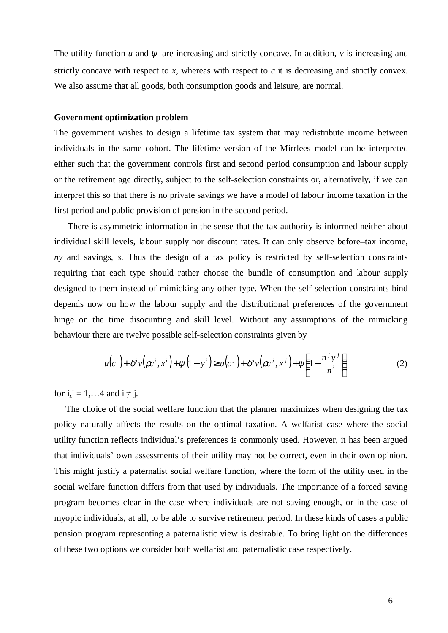The utility function *u* and  $\psi$  are increasing and strictly concave. In addition, *v* is increasing and strictly concave with respect to *x*, whereas with respect to *c* it is decreasing and strictly convex. We also assume that all goods, both consumption goods and leisure, are normal.

#### **Government optimization problem**

The government wishes to design a lifetime tax system that may redistribute income between individuals in the same cohort. The lifetime version of the Mirrlees model can be interpreted either such that the government controls first and second period consumption and labour supply or the retirement age directly, subject to the self-selection constraints or, alternatively, if we can interpret this so that there is no private savings we have a model of labour income taxation in the first period and public provision of pension in the second period.

 There is asymmetric information in the sense that the tax authority is informed neither about individual skill levels, labour supply nor discount rates. It can only observe before–tax income, *ny* and savings, *s*. Thus the design of a tax policy is restricted by self-selection constraints requiring that each type should rather choose the bundle of consumption and labour supply designed to them instead of mimicking any other type. When the self-selection constraints bind depends now on how the labour supply and the distributional preferences of the government hinge on the time disocunting and skill level. Without any assumptions of the mimicking behaviour there are twelve possible self-selection constraints given by

$$
u(c^i) + \delta^i v(\rho c^i, x^i) + \psi(1 - y^i) \ge u(c^j) + \delta^i v(\rho c^j, x^j) + \psi\left(1 - \frac{n^j y^j}{n^i}\right)
$$
 (2)

for  $i, j = 1, \ldots 4$  and  $i \neq j$ .

 The choice of the social welfare function that the planner maximizes when designing the tax policy naturally affects the results on the optimal taxation. A welfarist case where the social utility function reflects individual's preferences is commonly used. However, it has been argued that individuals' own assessments of their utility may not be correct, even in their own opinion. This might justify a paternalist social welfare function, where the form of the utility used in the social welfare function differs from that used by individuals. The importance of a forced saving program becomes clear in the case where individuals are not saving enough, or in the case of myopic individuals, at all, to be able to survive retirement period. In these kinds of cases a public pension program representing a paternalistic view is desirable. To bring light on the differences of these two options we consider both welfarist and paternalistic case respectively.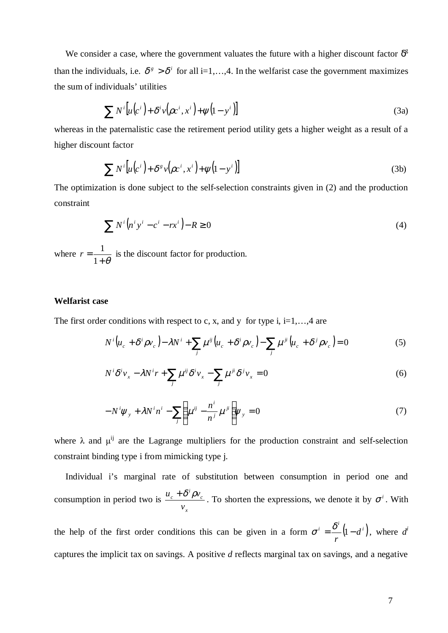We consider a case, where the government valuates the future with a higher discount factor  $\delta^g$ than the individuals, i.e.  $\delta^s > \delta^i$  for all i=1,...,4. In the welfarist case the government maximizes the sum of individuals' utilities

$$
\sum N^{i} \left[ u(c^{i}) + \delta^{i} v(\rho c^{i}, x^{i}) + \psi(1 - y^{i}) \right]
$$
\n(3a)

whereas in the paternalistic case the retirement period utility gets a higher weight as a result of a higher discount factor

$$
\sum N^{i} \left[ u(c^{i}) + \delta^{g} v(\rho c^{i}, x^{i}) + \psi(1 - y^{i}) \right]
$$
 (3b)

The optimization is done subject to the self-selection constraints given in (2) and the production constraint

$$
\sum N^i \left( n^i y^i - c^i - rx^i \right) - R \ge 0 \tag{4}
$$

where  $+ \theta$ = 1  $r = \frac{1}{1 - \epsilon}$  is the discount factor for production.

#### **Welfarist case**

The first order conditions with respect to c, x, and y for type i, i=1,...,4 are

$$
N^{i}\left(u_{c} + \delta^{i}\rho v_{c}\right) - \lambda N^{i} + \sum_{j}\mu^{ij}\left(u_{c} + \delta^{i}\rho v_{c}\right) - \sum_{j}\mu^{ji}\left(u_{c} + \delta^{j}\rho v_{c}\right) = 0
$$
\n<sup>(5)</sup>

$$
N^{i}\delta^{i}v_{x} - \lambda N^{i}r + \sum_{j}\mu^{ij}\delta^{i}v_{x} - \sum_{j}\mu^{ji}\delta^{j}v_{x} = 0
$$
\n<sup>(6)</sup>

$$
-N^{i}\psi_{y} + \lambda N^{i}n^{i} - \sum_{j}\left(\mu^{ij} - \frac{n^{i}}{n^{j}}\mu^{ji}\right)\psi_{y} = 0
$$
\n(7)

where  $\lambda$  and  $\mu^{ij}$  are the Lagrange multipliers for the production constraint and self-selection constraint binding type i from mimicking type j.

 Individual i's marginal rate of substitution between consumption in period one and consumption in period two is *x c i c v*  $u_c + \delta^i \rho v_c$ . To shorten the expressions, we denote it by  $\sigma^i$ . With

the help of the first order conditions this can be given in a form  $\sigma^i = \frac{\delta^i}{\delta} (1 - d^i)$ *r*  $\sigma^i = \frac{\delta^i}{-} (1 - d^i)$ , where *d*<sup>*i*</sup> captures the implicit tax on savings. A positive *d* reflects marginal tax on savings, and a negative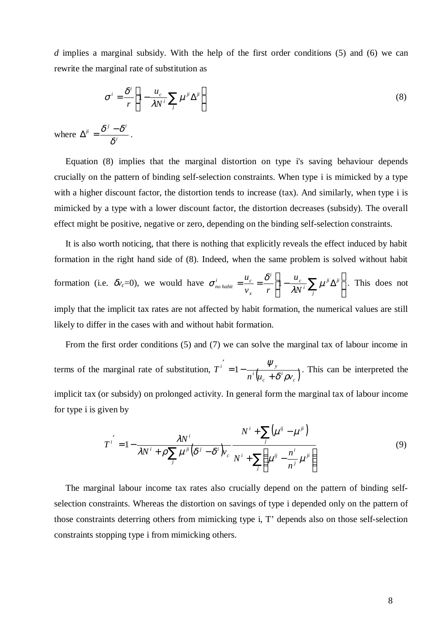*d* implies a marginal subsidy. With the help of the first order conditions (5) and (6) we can rewrite the marginal rate of substitution as

$$
\sigma^{i} = \frac{\delta^{i}}{r} \left[ 1 - \frac{u_c}{\lambda N^i} \sum_{j} \mu^{ji} \Delta^{ji} \right]
$$
 (8)

where  $\Delta^{ji} = \frac{6}{s^{i}}$  $j$ *i*  $\delta$ <sup>*j*</sup>  $-\delta$ <sup>*i*</sup> δ  $\Delta^{ji} = \frac{\delta^j - \delta^i}{\delta^i}.$ 

 Equation (8) implies that the marginal distortion on type i's saving behaviour depends crucially on the pattern of binding self-selection constraints. When type i is mimicked by a type with a higher discount factor, the distortion tends to increase (tax). And similarly, when type i is mimicked by a type with a lower discount factor, the distortion decreases (subsidy). The overall effect might be positive, negative or zero, depending on the binding self-selection constraints.

 It is also worth noticing, that there is nothing that explicitly reveals the effect induced by habit formation in the right hand side of (8). Indeed, when the same problem is solved without habit formation (i.e.  $\delta v_c = 0$ ), we would have  $\sigma_{no\;habit}^i = \frac{a_c}{v} = \frac{b}{v} \left[1 - \frac{a_c}{2M} \sum_i \mu^{ji} \Delta^{ji}\right]$  $\overline{\phantom{a}}$  I L  $=\frac{u_c}{v}=\frac{\delta^i}{r}\left[1-\frac{u_c}{\lambda N^i}\sum_{k'}\mu^{jk}\Delta^j\right]$ *j ji i*  $\begin{bmatrix} i \\ 1 \end{bmatrix}$   $u_c$ *x i*  $\qquad u_c$  $\frac{1}{n}$  *no* habit  $\frac{1}{n}$   $\frac{1}{n}$   $\frac{1}{n}$   $\frac{1}{n}$   $\frac{1}{n}$   $\frac{1}{n}$ *u*  $v_r$  *r u*  $\frac{1}{\lambda N^i} \sum_i \mu$  $\sigma_{no\, habit}^{i} = \frac{u_c}{\sigma} = \frac{\delta^i}{\sigma} \left[ 1 - \frac{u_c}{\sigma} \sum_{\mu} \mu^{\mu} \Delta^{\mu} \right]$ . This does not imply that the implicit tax rates are not affected by habit formation, the numerical values are still likely to differ in the cases with and without habit formation.

 From the first order conditions (5) and (7) we can solve the marginal tax of labour income in terms of the marginal rate of substitution,  $T^i = 1 - \frac{r y}{n^i (u_c + \delta^i \rho v_c)}$ *i c i i*  $\qquad 1$   $\qquad \qquad \varphi_y$  $n^{i} \left( u_{c} + \delta^{i} \rho v_{c} \right)$ *T*  $\delta^{\scriptscriptstyle \iota}\rho$ ψ +  $\int_{0}^{\infty}$  = 1 –  $\frac{\psi_{y}}{e^{i} - 1}$ . This can be interpreted the implicit tax (or subsidy) on prolonged activity. In general form the marginal tax of labour income for type i is given by

$$
T^{i'} = 1 - \frac{\lambda N^{i}}{\lambda N^{i} + \rho \sum_{j} \mu^{ji} (\delta^{j} - \delta^{i}) v_{c}} \frac{N^{i} + \sum_{j} (\mu^{ij} - \mu^{ji})}{N^{i} + \sum_{j} (\mu^{ij} - \frac{n^{i}}{n^{j}} \mu^{ji})}
$$
(9)

 The marginal labour income tax rates also crucially depend on the pattern of binding selfselection constraints. Whereas the distortion on savings of type i depended only on the pattern of those constraints deterring others from mimicking type i, T' depends also on those self-selection constraints stopping type i from mimicking others.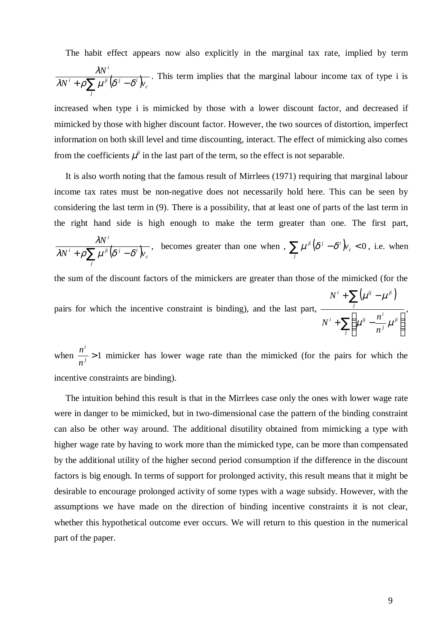The habit effect appears now also explicitly in the marginal tax rate, implied by term

$$
\frac{\lambda N^i}{\lambda N^i + \rho \sum_j \mu^{ji} (\delta^j - \delta^i) v_c}
$$
. This term implies that the marginal labour income tax of type i is

increased when type i is mimicked by those with a lower discount factor, and decreased if mimicked by those with higher discount factor. However, the two sources of distortion, imperfect information on both skill level and time discounting, interact. The effect of mimicking also comes from the coefficients  $\mu^{ji}$  in the last part of the term, so the effect is not separable.

 It is also worth noting that the famous result of Mirrlees (1971) requiring that marginal labour income tax rates must be non-negative does not necessarily hold here. This can be seen by considering the last term in (9). There is a possibility, that at least one of parts of the last term in the right hand side is high enough to make the term greater than one. The first part,

$$
\frac{\lambda N^i}{\lambda N^i + \rho \sum_j \mu^{ji} (\delta^j - \delta^i) v_c},
$$
 becomes greater than one when, 
$$
\sum_j \mu^{ji} (\delta^j - \delta^i) v_c < 0
$$
, i.e. when

the sum of the discount factors of the mimickers are greater than those of the mimicked (for the

pairs for which the incentive constraint is binding), and the last part,  $(\mu^{ij} - \mu^{ji})$ ∑ ∑  $\overline{a}$ ľ I l ſ  $+$   $\sum$   $\int$   $\mu$ <sup>ij</sup>  $+\sum (\mu^{ij}$ *j ji j*  $\sum_{i}$   $\left( \begin{array}{cc} i & n^i \end{array} \right)$ *j i ij ji n*  $N^i$  +  $\sum$   $\left(\mu^{ij} - \frac{n}{n}\right)$ *N*  $\mu^{\mathcal{F}}$  –  $\mu$  $\mu^{\scriptscriptstyle\vee}$  –  $\mu$ ,

when  $\frac{n}{n} > 1$ *i n*  $n^i$  > 1 mimicker has lower wage rate than the mimicked (for the pairs for which the incentive constraints are binding).

 The intuition behind this result is that in the Mirrlees case only the ones with lower wage rate were in danger to be mimicked, but in two-dimensional case the pattern of the binding constraint can also be other way around. The additional disutility obtained from mimicking a type with higher wage rate by having to work more than the mimicked type, can be more than compensated by the additional utility of the higher second period consumption if the difference in the discount factors is big enough. In terms of support for prolonged activity, this result means that it might be desirable to encourage prolonged activity of some types with a wage subsidy. However, with the assumptions we have made on the direction of binding incentive constraints it is not clear, whether this hypothetical outcome ever occurs. We will return to this question in the numerical part of the paper.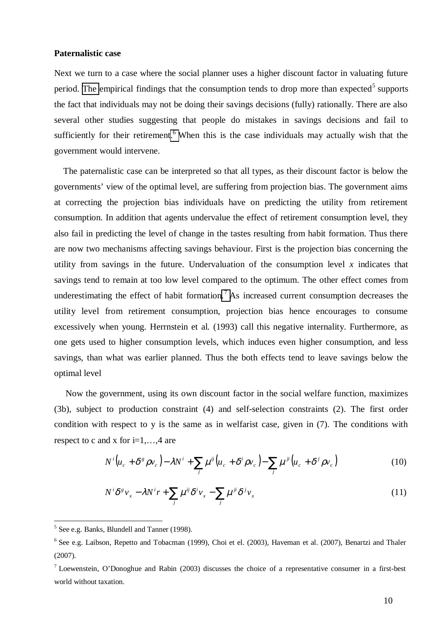#### **Paternalistic case**

Next we turn to a case where the social planner uses a higher discount factor in valuating future period. [The](#page-11-0) empirical findings that the consumption tends to drop more than expected<sup>5</sup> supports the fact that individuals may not be doing their savings decisions (fully) rationally. There are also several other studies suggesting that people do mistakes in savings decisions and fail to sufficiently for their retirement.<sup>6</sup> [W](#page-11-1)hen this is the case individuals may actually wish that the government would intervene.

 The paternalistic case can be interpreted so that all types, as their discount factor is below the governments' view of the optimal level, are suffering from projection bias. The government aims at correcting the projection bias individuals have on predicting the utility from retirement consumption. In addition that agents undervalue the effect of retirement consumption level, they also fail in predicting the level of change in the tastes resulting from habit formation. Thus there are now two mechanisms affecting savings behaviour. First is the projection bias concerning the utility from savings in the future. Undervaluation of the consumption level  $x$  indicates that savings tend to remain at too low level compared to the optimum. The other effect comes from underestimating the effect of habit formation.<sup>7</sup> [A](#page-11-2)s increased current consumption decreases the utility level from retirement consumption, projection bias hence encourages to consume excessively when young. Herrnstein et al. (1993) call this negative internality. Furthermore, as one gets used to higher consumption levels, which induces even higher consumption, and less savings, than what was earlier planned. Thus the both effects tend to leave savings below the optimal level

 Now the government, using its own discount factor in the social welfare function, maximizes (3b), subject to production constraint (4) and self-selection constraints (2). The first order condition with respect to y is the same as in welfarist case, given in (7). The conditions with respect to c and x for  $i=1,\ldots,4$  are

$$
N^{i}\left(u_{c} + \delta^{g}\rho v_{c}\right) - \lambda N^{i} + \sum_{j}\mu^{ij}\left(u_{c} + \delta^{i}\rho v_{c}\right) - \sum_{j}\mu^{ji}\left(u_{c} + \delta^{j}\rho v_{c}\right)
$$
(10)

$$
N^{i}\delta^{g}v_{x} - \lambda N^{i}r + \sum_{j}\mu^{ij}\delta^{i}v_{x} - \sum_{j}\mu^{ji}\delta^{j}v_{x}
$$
 (11)

<span id="page-11-0"></span><sup>&</sup>lt;sup>5</sup> See e.g. Banks, Blundell and Tanner (1998).

<span id="page-11-1"></span><sup>&</sup>lt;sup>6</sup> See e.g. Laibson, Repetto and Tobacman (1999), Choi et el. (2003), Haveman et al. (2007), Benartzi and Thaler (2007).

<span id="page-11-2"></span><sup>&</sup>lt;sup>7</sup> Loewenstein, O'Donoghue and Rabin (2003) discusses the choice of a representative consumer in a first-best world without taxation.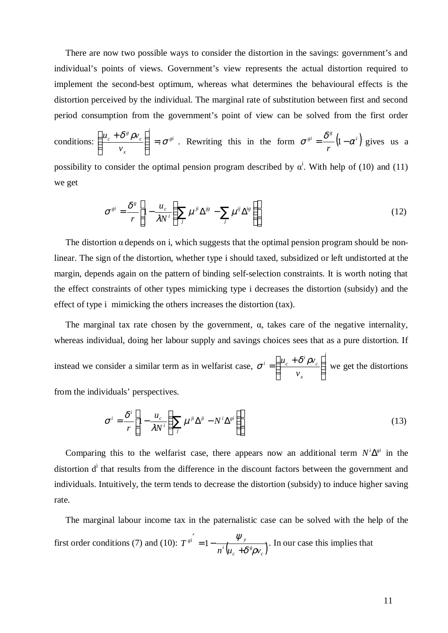There are now two possible ways to consider the distortion in the savings: government's and individual's points of views. Government's view represents the actual distortion required to implement the second-best optimum, whereas what determines the behavioural effects is the distortion perceived by the individual. The marginal rate of substitution between first and second period consumption from the government's point of view can be solved from the first order

conditions:  $\left| \frac{u_c + \sigma \rho v_c}{\sigma} \right| = \sigma^{gi}$ *i x c g c v*  $\left[\frac{u_c + \delta^g \rho v_c}{v}\right] = \sigma$  $\overline{1}$  $\lambda$  $\mathsf{I}$ l  $\left(u_{c}+u_{c}\right)$ . Rewriting this in the form  $\sigma^{gi} = \frac{\delta^g}{\delta} (1 - \alpha^i)$  $\sigma^{si} = \frac{\delta^g}{r} (1 - \alpha^i)$  gives us a possibility to consider the optimal pension program described by  $\alpha^i$ . With help of (10) and (11)

we get

$$
\sigma^{gi} = \frac{\delta^g}{r} \left[ 1 - \frac{u_c}{\lambda N^i} \left( \sum_j \mu^{ji} \Delta^{js} - \sum_j \mu^{ij} \Delta^{is} \right) \right]
$$
(12)

The distortion  $\alpha$  depends on i, which suggests that the optimal pension program should be nonlinear. The sign of the distortion, whether type i should taxed, subsidized or left undistorted at the margin, depends again on the pattern of binding self-selection constraints. It is worth noting that the effect constraints of other types mimicking type i decreases the distortion (subsidy) and the effect of type i mimicking the others increases the distortion (tax).

The marginal tax rate chosen by the government,  $\alpha$ , takes care of the negative internality, whereas individual, doing her labour supply and savings choices sees that as a pure distortion. If instead we consider a similar term as in welfarist case, *i x c*  $\int u_c + \delta^i$ *v*  $u_c + \delta^i \rho v$  $\overline{1}$  $\overline{a}$  $\overline{\phantom{a}}$ l  $\sigma^i = \left(\frac{u_c + \delta^i \rho v_c}{\delta} \right)^i$  we get the distortions from the individuals' perspectives.

$$
\sigma^{i} = \frac{\delta^{i}}{r} \left[ 1 - \frac{u_{c}}{\lambda N^{i}} \left( \sum_{j} \mu^{ji} \Delta^{ji} - N^{i} \Delta^{gi} \right) \right]
$$
(13)

Comparing this to the welfarist case, there appears now an additional term  $N^i \Delta^{gi}$  in the distortion d<sup>i</sup> that results from the difference in the discount factors between the government and individuals. Intuitively, the term tends to decrease the distortion (subsidy) to induce higher saving rate.

 The marginal labour income tax in the paternalistic case can be solved with the help of the first order conditions (7) and (10):  $T^{si} = 1 - \frac{r_y}{n^i (u_c + \delta^s \rho v_c)}$ *g c i*  $g_i = 1$   $\forall y$  $n^i(u_c + \delta^s \rho v_c)$ *T*  $\delta^s\! \rho$ ψ +  $\gamma' = 1 - \frac{\psi_y}{\sqrt{2\pi}}$ . In our case this implies that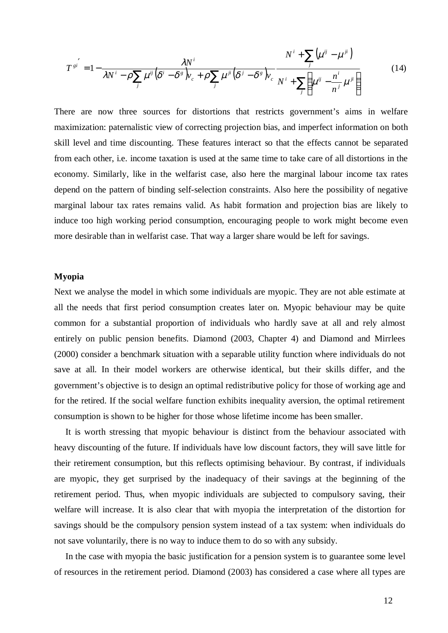$$
T^{si'} = 1 - \frac{\lambda N^i}{\lambda N^i - \rho \sum_j \mu^{ij} (\delta^i - \delta^s)_{V_c} + \rho \sum_j \mu^{ji} (\delta^j - \delta^s)_{V_c}} \frac{N^i + \sum_j (\mu^{ij} - \mu^{ji})}{N^i + \sum_j (\mu^{ij} - \frac{n^i}{n^j} \mu^{ji})}
$$
(14)

There are now three sources for distortions that restricts government's aims in welfare maximization: paternalistic view of correcting projection bias, and imperfect information on both skill level and time discounting. These features interact so that the effects cannot be separated from each other, i.e. income taxation is used at the same time to take care of all distortions in the economy. Similarly, like in the welfarist case, also here the marginal labour income tax rates depend on the pattern of binding self-selection constraints. Also here the possibility of negative marginal labour tax rates remains valid. As habit formation and projection bias are likely to induce too high working period consumption, encouraging people to work might become even more desirable than in welfarist case. That way a larger share would be left for savings.

#### **Myopia**

Next we analyse the model in which some individuals are myopic. They are not able estimate at all the needs that first period consumption creates later on. Myopic behaviour may be quite common for a substantial proportion of individuals who hardly save at all and rely almost entirely on public pension benefits. Diamond (2003, Chapter 4) and Diamond and Mirrlees (2000) consider a benchmark situation with a separable utility function where individuals do not save at all. In their model workers are otherwise identical, but their skills differ, and the government's objective is to design an optimal redistributive policy for those of working age and for the retired. If the social welfare function exhibits inequality aversion, the optimal retirement consumption is shown to be higher for those whose lifetime income has been smaller.

 It is worth stressing that myopic behaviour is distinct from the behaviour associated with heavy discounting of the future. If individuals have low discount factors, they will save little for their retirement consumption, but this reflects optimising behaviour. By contrast, if individuals are myopic, they get surprised by the inadequacy of their savings at the beginning of the retirement period. Thus, when myopic individuals are subjected to compulsory saving, their welfare will increase. It is also clear that with myopia the interpretation of the distortion for savings should be the compulsory pension system instead of a tax system: when individuals do not save voluntarily, there is no way to induce them to do so with any subsidy.

 In the case with myopia the basic justification for a pension system is to guarantee some level of resources in the retirement period. Diamond (2003) has considered a case where all types are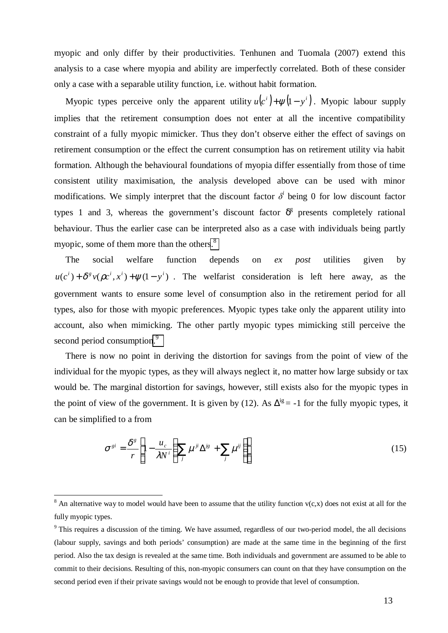myopic and only differ by their productivities. Tenhunen and Tuomala (2007) extend this analysis to a case where myopia and ability are imperfectly correlated. Both of these consider only a case with a separable utility function, i.e. without habit formation.

Myopic types perceive only the apparent utility  $u(c^i) + \psi(1 - y^i)$ . Myopic labour supply implies that the retirement consumption does not enter at all the incentive compatibility constraint of a fully myopic mimicker. Thus they don't observe either the effect of savings on retirement consumption or the effect the current consumption has on retirement utility via habit formation. Although the behavioural foundations of myopia differ essentially from those of time consistent utility maximisation, the analysis developed above can be used with minor modifications. We simply interpret that the discount factor  $\delta^i$  being 0 for low discount factor types 1 and 3, whereas the government's discount factor  $\delta^g$  presents completely rational behaviour. Thus the earlier case can be interpreted also as a case with individuals being partly myopic, some of them more than the other[s.](#page-14-0)<sup>8</sup>

 The social welfare function depends on *ex post* utilities given by  $u(c^{i}) + \delta^{g} v(\rho c^{i}, x^{i}) + \psi(1 - y^{i})$ . The welfarist consideration is left here away, as the government wants to ensure some level of consumption also in the retirement period for all types, also for those with myopic preferences. Myopic types take only the apparent utility into account, also when mimicking. The other partly myopic types mimicking still perceive the second period consumptio[n.](#page-14-1)<sup>9</sup>

 There is now no point in deriving the distortion for savings from the point of view of the individual for the myopic types, as they will always neglect it, no matter how large subsidy or tax would be. The marginal distortion for savings, however, still exists also for the myopic types in the point of view of the government. It is given by (12). As  $\Delta^{ig}$  = -1 for the fully myopic types, it can be simplified to a from

$$
\sigma^{gi} = \frac{\delta^g}{r} \left[ 1 - \frac{u_c}{\lambda N^i} \left( \sum_j \mu^{ji} \Delta^{js} + \sum_j \mu^{ij} \right) \right]
$$
(15)

<span id="page-14-0"></span><sup>&</sup>lt;sup>8</sup> An alternative way to model would have been to assume that the utility function  $v(c,x)$  does not exist at all for the fully myopic types.

<span id="page-14-1"></span><sup>&</sup>lt;sup>9</sup> This requires a discussion of the timing. We have assumed, regardless of our two-period model, the all decisions (labour supply, savings and both periods' consumption) are made at the same time in the beginning of the first period. Also the tax design is revealed at the same time. Both individuals and government are assumed to be able to commit to their decisions. Resulting of this, non-myopic consumers can count on that they have consumption on the second period even if their private savings would not be enough to provide that level of consumption.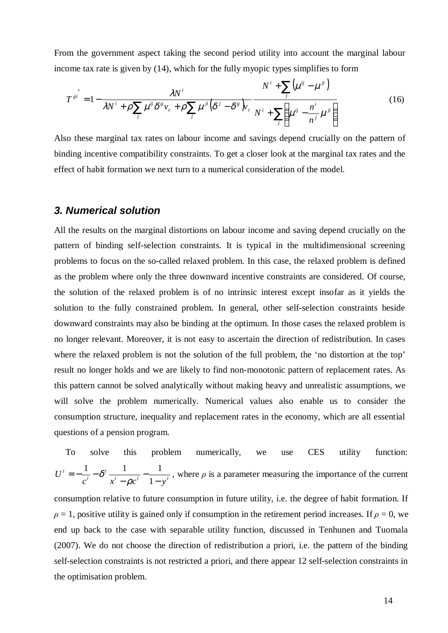From the government aspect taking the second period utility into account the marginal labour income tax rate is given by (14), which for the fully myopic types simplifies to form

$$
T^{si'} = 1 - \frac{\lambda N^i}{\lambda N^i + \rho \sum_j \mu^{ij} \delta^s v_c + \rho \sum_j \mu^{ji} (\delta^j - \delta^s) v_c} \frac{N^i + \sum_j (\mu^{ij} - \mu^{ji})}{N^i + \sum_j (\mu^{ij} - \frac{n^i}{n^j} \mu^{ji})}
$$
(16)

Also these marginal tax rates on labour income and savings depend crucially on the pattern of binding incentive compatibility constraints. To get a closer look at the marginal tax rates and the effect of habit formation we next turn to a numerical consideration of the model.

## *3. Numerical solution*

All the results on the marginal distortions on labour income and saving depend crucially on the pattern of binding self-selection constraints. It is typical in the multidimensional screening problems to focus on the so-called relaxed problem. In this case, the relaxed problem is defined as the problem where only the three downward incentive constraints are considered. Of course, the solution of the relaxed problem is of no intrinsic interest except insofar as it yields the solution to the fully constrained problem. In general, other self-selection constraints beside downward constraints may also be binding at the optimum. In those cases the relaxed problem is no longer relevant. Moreover, it is not easy to ascertain the direction of redistribution. In cases where the relaxed problem is not the solution of the full problem, the 'no distortion at the top' result no longer holds and we are likely to find non-monotonic pattern of replacement rates. As this pattern cannot be solved analytically without making heavy and unrealistic assumptions, we will solve the problem numerically. Numerical values also enable us to consider the consumption structure, inequality and replacement rates in the economy, which are all essential questions of a pension program.

 To solve this problem numerically, we use CES utility function:  $i = a_i$ ,  $i = 1$ ,  $i$ *i i i*  $c^i$   $x^i - \rho c^i$  1-y *U* − − −  $=-\frac{1}{i}-$ 1  $1$   $_{\text{e}i}$   $1$   $1$ ρ  $\delta^i$   $\frac{1}{\epsilon}$  –  $\frac{1}{\epsilon}$ , where  $\rho$  is a parameter measuring the importance of the current consumption relative to future consumption in future utility, i.e. the degree of habit formation. If  $\rho = 1$ , positive utility is gained only if consumption in the retirement period increases. If  $\rho = 0$ , we end up back to the case with separable utility function, discussed in Tenhunen and Tuomala (2007). We do not choose the direction of redistribution a priori, i.e. the pattern of the binding self-selection constraints is not restricted a priori, and there appear 12 self-selection constraints in the optimisation problem.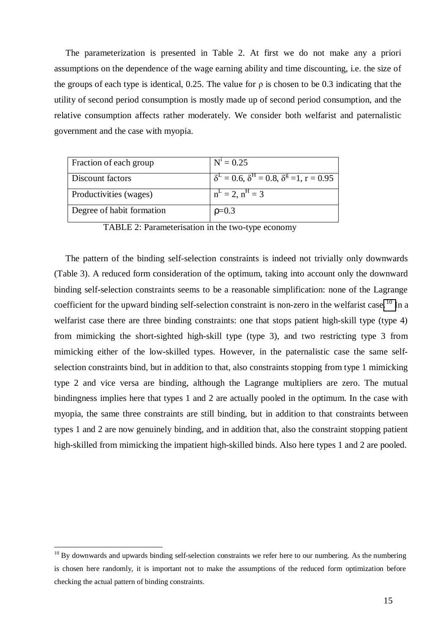The parameterization is presented in Table 2. At first we do not make any a priori assumptions on the dependence of the wage earning ability and time discounting, i.e. the size of the groups of each type is identical, 0.25. The value for  $\rho$  is chosen to be 0.3 indicating that the utility of second period consumption is mostly made up of second period consumption, and the relative consumption affects rather moderately. We consider both welfarist and paternalistic government and the case with myopia.

| Fraction of each group    | $N^1 = 0.25$                                                      |
|---------------------------|-------------------------------------------------------------------|
| Discount factors          | $\delta^L = 0.6$ , $\delta^H = 0.8$ , $\delta^g = 1$ , $r = 0.95$ |
| Productivities (wages)    | $n^L = 2$ , $n^H = 3$                                             |
| Degree of habit formation | $p=0.3$                                                           |

TABLE 2: Parameterisation in the two-type economy

 The pattern of the binding self-selection constraints is indeed not trivially only downwards (Table 3). A reduced form consideration of the optimum, taking into account only the downward binding self-selection constraints seems to be a reasonable simplification: none of the Lagrange coefficient for the upward binding self-selection constraint is non-zero in the welfarist case.<sup>[10](#page-16-0)</sup> In a welfarist case there are three binding constraints: one that stops patient high-skill type (type 4) from mimicking the short-sighted high-skill type (type 3), and two restricting type 3 from mimicking either of the low-skilled types. However, in the paternalistic case the same selfselection constraints bind, but in addition to that, also constraints stopping from type 1 mimicking type 2 and vice versa are binding, although the Lagrange multipliers are zero. The mutual bindingness implies here that types 1 and 2 are actually pooled in the optimum. In the case with myopia, the same three constraints are still binding, but in addition to that constraints between types 1 and 2 are now genuinely binding, and in addition that, also the constraint stopping patient high-skilled from mimicking the impatient high-skilled binds. Also here types 1 and 2 are pooled.

<span id="page-16-0"></span> $10$  By downwards and upwards binding self-selection constraints we refer here to our numbering. As the numbering is chosen here randomly, it is important not to make the assumptions of the reduced form optimization before checking the actual pattern of binding constraints.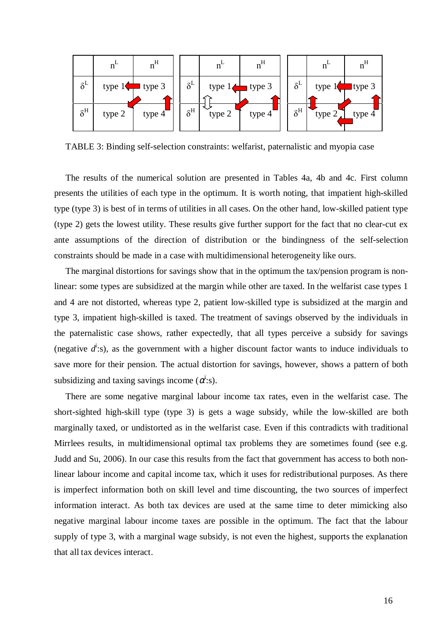

TABLE 3: Binding self-selection constraints: welfarist, paternalistic and myopia case

 The results of the numerical solution are presented in Tables 4a, 4b and 4c. First column presents the utilities of each type in the optimum. It is worth noting, that impatient high-skilled type (type 3) is best of in terms of utilities in all cases. On the other hand, low-skilled patient type (type 2) gets the lowest utility. These results give further support for the fact that no clear-cut ex ante assumptions of the direction of distribution or the bindingness of the self-selection constraints should be made in a case with multidimensional heterogeneity like ours.

 The marginal distortions for savings show that in the optimum the tax/pension program is nonlinear: some types are subsidized at the margin while other are taxed. In the welfarist case types 1 and 4 are not distorted, whereas type 2, patient low-skilled type is subsidized at the margin and type 3, impatient high-skilled is taxed. The treatment of savings observed by the individuals in the paternalistic case shows, rather expectedly, that all types perceive a subsidy for savings (negative  $d^i$ :s), as the government with a higher discount factor wants to induce individuals to save more for their pension. The actual distortion for savings, however, shows a pattern of both subsidizing and taxing savings income  $(\alpha^i)$ :s).

 There are some negative marginal labour income tax rates, even in the welfarist case. The short-sighted high-skill type (type 3) is gets a wage subsidy, while the low-skilled are both marginally taxed, or undistorted as in the welfarist case. Even if this contradicts with traditional Mirrlees results, in multidimensional optimal tax problems they are sometimes found (see e.g. Judd and Su, 2006). In our case this results from the fact that government has access to both nonlinear labour income and capital income tax, which it uses for redistributional purposes. As there is imperfect information both on skill level and time discounting, the two sources of imperfect information interact. As both tax devices are used at the same time to deter mimicking also negative marginal labour income taxes are possible in the optimum. The fact that the labour supply of type 3, with a marginal wage subsidy, is not even the highest, supports the explanation that all tax devices interact.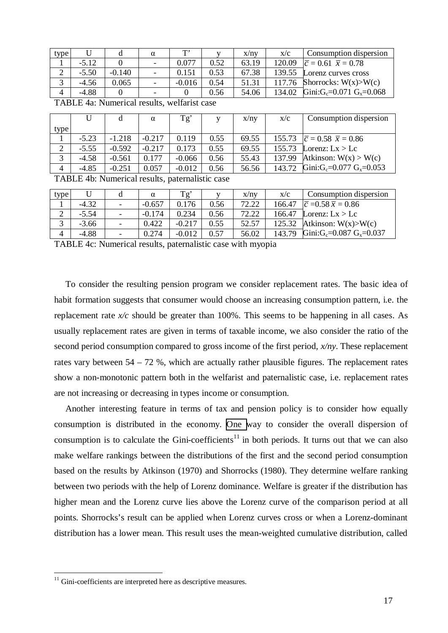| type |         |          | $\alpha$                 | T.       |      | x/ny  | X/C    | Consumption dispersion                           |
|------|---------|----------|--------------------------|----------|------|-------|--------|--------------------------------------------------|
|      | $-5.12$ |          | $\overline{\phantom{a}}$ | 0.077    | 0.52 | 63.19 | 120.09 | $ \bar{c} = 0.61 \ \bar{x} = 0.78$               |
| ∠    | $-5.50$ | $-0.140$ |                          | 0.151    | 0.53 | 67.38 | 139.55 | Lorenz curves cross                              |
| J    | $-4.56$ | 0.065    |                          | $-0.016$ | 0.54 | 51.31 | 117.76 | Shorrocks: $W(x) > W(c)$                         |
| 4    | $-4.88$ |          |                          |          | 0.56 | 54.06 | 134.02 | Gini:G <sub>c</sub> =0.071 G <sub>x</sub> =0.068 |

| TABLE 4a: Numerical results, welfarist case |  |  |
|---------------------------------------------|--|--|
|                                             |  |  |

|                |         |          | $\alpha$ | Tg'      | $\mathbf{V}$ | x/ny  | X/C    | Consumption dispersion                           |
|----------------|---------|----------|----------|----------|--------------|-------|--------|--------------------------------------------------|
| type           |         |          |          |          |              |       |        |                                                  |
|                | $-5.23$ | $-1.218$ | $-0.217$ | 0.119    | 0.55         | 69.55 | 155.73 | $\bar{c} = 0.58 \ \bar{x} = 0.86$                |
| $\bigcap$<br>∠ | $-5.55$ | $-0.592$ | $-0.217$ | 0.173    | 0.55         | 69.55 | 155.73 | Lorenz: $Lx > Lc$                                |
| 3              | $-4.58$ | $-0.561$ | 0.177    | $-0.066$ | 0.56         | 55.43 | 137.99 | Atkinson: $W(x) > W(c)$                          |
| 4              | $-4.85$ | $-0.251$ | 0.057    | $-0.012$ | 0.56         | 56.56 | 143.72 | Gini:G <sub>c</sub> =0.077 G <sub>x</sub> =0.053 |

TABLE 4b: Numerical results, paternalistic case

| type |         |                          | α        | $\mathrm{T}\sigma'$ |      | x/ny  | X/C    | Consumption dispersion                           |
|------|---------|--------------------------|----------|---------------------|------|-------|--------|--------------------------------------------------|
|      | $-4.32$ | $\equiv$                 | $-0.657$ | 0.176               | 0.56 | 72.22 | 166.47 | $ \bar{c} = 0.58 \bar{x} = 0.86$                 |
| ∠    | $-5.54$ | $\overline{\phantom{0}}$ | $-0.174$ | 0.234               | 0.56 | 72.22 | 166.47 | Lorenz: $Lx > Lc$                                |
|      | $-3.66$ | -                        | 0.422    | $-0.217$            | 0.55 | 52.57 | 125.32 | Atkinson: $W(x) > W(c)$                          |
| 4    | $-4.88$ | ۰                        | 0.274    | $-0.012$            | 0.57 | 56.02 | 143.79 | Gini:G <sub>c</sub> =0.087 G <sub>x</sub> =0.037 |

TABLE 4c: Numerical results, paternalistic case with myopia

 To consider the resulting pension program we consider replacement rates. The basic idea of habit formation suggests that consumer would choose an increasing consumption pattern, i.e. the replacement rate *x/c* should be greater than 100%. This seems to be happening in all cases. As usually replacement rates are given in terms of taxable income, we also consider the ratio of the second period consumption compared to gross income of the first period, *x/ny*. These replacement rates vary between 54 – 72 %, which are actually rather plausible figures. The replacement rates show a non-monotonic pattern both in the welfarist and paternalistic case, i.e. replacement rates are not increasing or decreasing in types income or consumption.

 Another interesting feature in terms of tax and pension policy is to consider how equally consumption is distributed in the economy. [One w](#page-18-0)ay to consider the overall dispersion of consumption is to calculate the Gini-coefficients<sup>11</sup> in both periods. It turns out that we can also make welfare rankings between the distributions of the first and the second period consumption based on the results by Atkinson (1970) and Shorrocks (1980). They determine welfare ranking between two periods with the help of Lorenz dominance. Welfare is greater if the distribution has higher mean and the Lorenz curve lies above the Lorenz curve of the comparison period at all points. Shorrocks's result can be applied when Lorenz curves cross or when a Lorenz-dominant distribution has a lower mean. This result uses the mean-weighted cumulative distribution, called

<span id="page-18-0"></span><sup>&</sup>lt;sup>11</sup> Gini-coefficients are interpreted here as descriptive measures.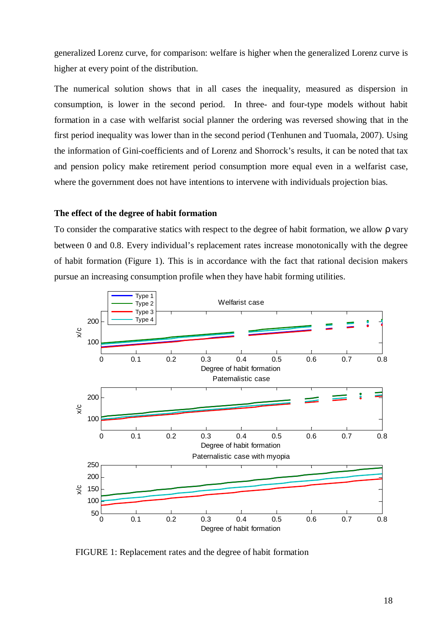generalized Lorenz curve, for comparison: welfare is higher when the generalized Lorenz curve is higher at every point of the distribution.

The numerical solution shows that in all cases the inequality, measured as dispersion in consumption, is lower in the second period. In three- and four-type models without habit formation in a case with welfarist social planner the ordering was reversed showing that in the first period inequality was lower than in the second period (Tenhunen and Tuomala, 2007). Using the information of Gini-coefficients and of Lorenz and Shorrock's results, it can be noted that tax and pension policy make retirement period consumption more equal even in a welfarist case, where the government does not have intentions to intervene with individuals projection bias.

#### **The effect of the degree of habit formation**

To consider the comparative statics with respect to the degree of habit formation, we allow ρ vary between 0 and 0.8. Every individual's replacement rates increase monotonically with the degree of habit formation (Figure 1). This is in accordance with the fact that rational decision makers pursue an increasing consumption profile when they have habit forming utilities.



FIGURE 1: Replacement rates and the degree of habit formation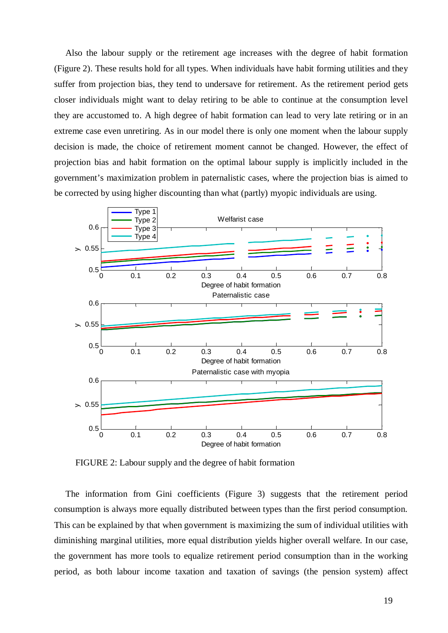Also the labour supply or the retirement age increases with the degree of habit formation (Figure 2). These results hold for all types. When individuals have habit forming utilities and they suffer from projection bias, they tend to undersave for retirement. As the retirement period gets closer individuals might want to delay retiring to be able to continue at the consumption level they are accustomed to. A high degree of habit formation can lead to very late retiring or in an extreme case even unretiring. As in our model there is only one moment when the labour supply decision is made, the choice of retirement moment cannot be changed. However, the effect of projection bias and habit formation on the optimal labour supply is implicitly included in the government's maximization problem in paternalistic cases, where the projection bias is aimed to be corrected by using higher discounting than what (partly) myopic individuals are using.



FIGURE 2: Labour supply and the degree of habit formation

 The information from Gini coefficients (Figure 3) suggests that the retirement period consumption is always more equally distributed between types than the first period consumption. This can be explained by that when government is maximizing the sum of individual utilities with diminishing marginal utilities, more equal distribution yields higher overall welfare. In our case, the government has more tools to equalize retirement period consumption than in the working period, as both labour income taxation and taxation of savings (the pension system) affect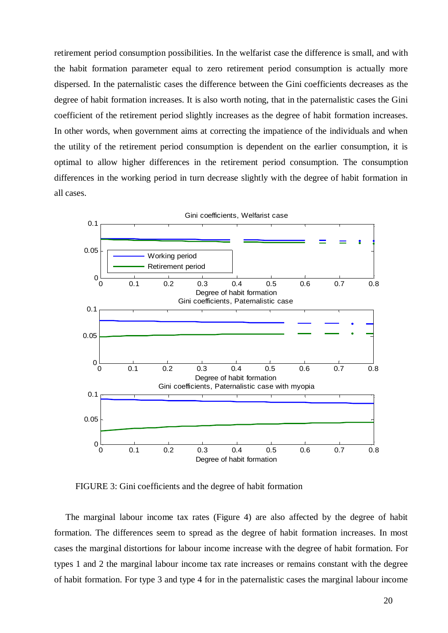retirement period consumption possibilities. In the welfarist case the difference is small, and with the habit formation parameter equal to zero retirement period consumption is actually more dispersed. In the paternalistic cases the difference between the Gini coefficients decreases as the degree of habit formation increases. It is also worth noting, that in the paternalistic cases the Gini coefficient of the retirement period slightly increases as the degree of habit formation increases. In other words, when government aims at correcting the impatience of the individuals and when the utility of the retirement period consumption is dependent on the earlier consumption, it is optimal to allow higher differences in the retirement period consumption. The consumption differences in the working period in turn decrease slightly with the degree of habit formation in all cases.



FIGURE 3: Gini coefficients and the degree of habit formation

 The marginal labour income tax rates (Figure 4) are also affected by the degree of habit formation. The differences seem to spread as the degree of habit formation increases. In most cases the marginal distortions for labour income increase with the degree of habit formation. For types 1 and 2 the marginal labour income tax rate increases or remains constant with the degree of habit formation. For type 3 and type 4 for in the paternalistic cases the marginal labour income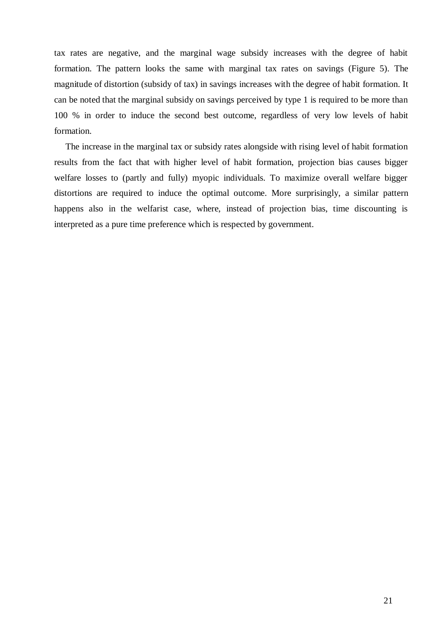tax rates are negative, and the marginal wage subsidy increases with the degree of habit formation. The pattern looks the same with marginal tax rates on savings (Figure 5). The magnitude of distortion (subsidy of tax) in savings increases with the degree of habit formation. It can be noted that the marginal subsidy on savings perceived by type 1 is required to be more than 100 % in order to induce the second best outcome, regardless of very low levels of habit formation.

 The increase in the marginal tax or subsidy rates alongside with rising level of habit formation results from the fact that with higher level of habit formation, projection bias causes bigger welfare losses to (partly and fully) myopic individuals. To maximize overall welfare bigger distortions are required to induce the optimal outcome. More surprisingly, a similar pattern happens also in the welfarist case, where, instead of projection bias, time discounting is interpreted as a pure time preference which is respected by government.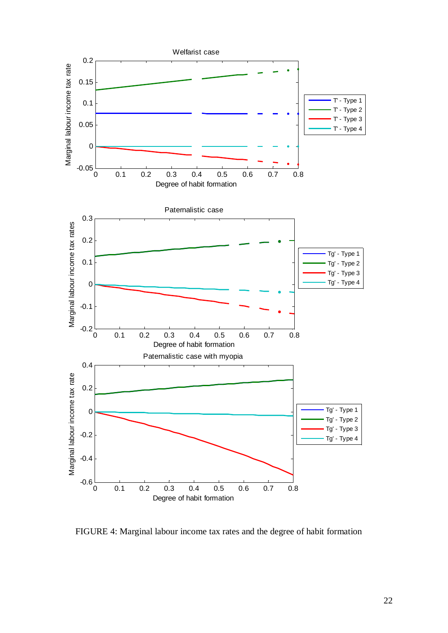

FIGURE 4: Marginal labour income tax rates and the degree of habit formation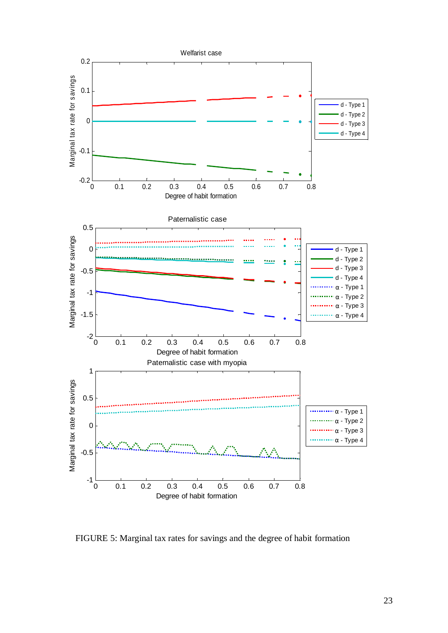

FIGURE 5: Marginal tax rates for savings and the degree of habit formation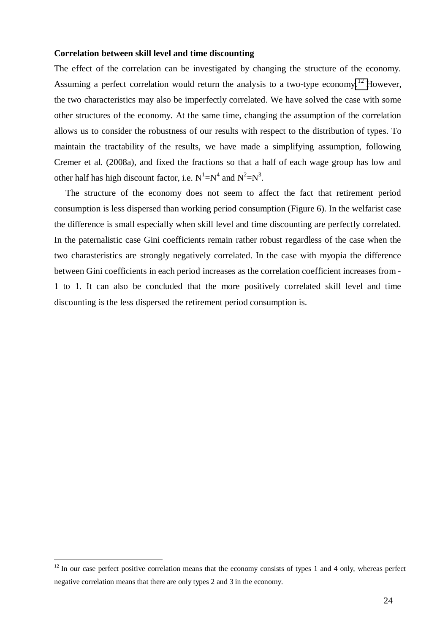#### **Correlation between skill level and time discounting**

The effect of the correlation can be investigated by changing the structure of the economy. Assuming a perfect correlation would return the analysis to a two-type economy.<sup>[12](#page-25-0)</sup> However, the two characteristics may also be imperfectly correlated. We have solved the case with some other structures of the economy. At the same time, changing the assumption of the correlation allows us to consider the robustness of our results with respect to the distribution of types. To maintain the tractability of the results, we have made a simplifying assumption, following Cremer et al. (2008a), and fixed the fractions so that a half of each wage group has low and other half has high discount factor, i.e.  $N^1 = N^4$  and  $N^2 = N^3$ .

 The structure of the economy does not seem to affect the fact that retirement period consumption is less dispersed than working period consumption (Figure 6). In the welfarist case the difference is small especially when skill level and time discounting are perfectly correlated. In the paternalistic case Gini coefficients remain rather robust regardless of the case when the two charasteristics are strongly negatively correlated. In the case with myopia the difference between Gini coefficients in each period increases as the correlation coefficient increases from - 1 to 1. It can also be concluded that the more positively correlated skill level and time discounting is the less dispersed the retirement period consumption is.

<span id="page-25-0"></span> $12$  In our case perfect positive correlation means that the economy consists of types 1 and 4 only, whereas perfect negative correlation means that there are only types 2 and 3 in the economy.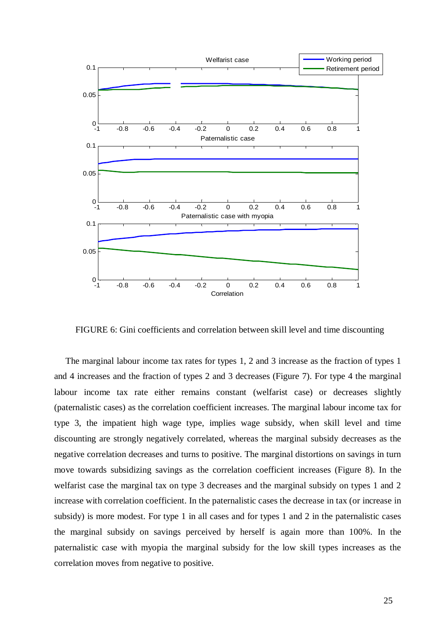

FIGURE 6: Gini coefficients and correlation between skill level and time discounting

 The marginal labour income tax rates for types 1, 2 and 3 increase as the fraction of types 1 and 4 increases and the fraction of types 2 and 3 decreases (Figure 7). For type 4 the marginal labour income tax rate either remains constant (welfarist case) or decreases slightly (paternalistic cases) as the correlation coefficient increases. The marginal labour income tax for type 3, the impatient high wage type, implies wage subsidy, when skill level and time discounting are strongly negatively correlated, whereas the marginal subsidy decreases as the negative correlation decreases and turns to positive. The marginal distortions on savings in turn move towards subsidizing savings as the correlation coefficient increases (Figure 8). In the welfarist case the marginal tax on type 3 decreases and the marginal subsidy on types 1 and 2 increase with correlation coefficient. In the paternalistic cases the decrease in tax (or increase in subsidy) is more modest. For type 1 in all cases and for types 1 and 2 in the paternalistic cases the marginal subsidy on savings perceived by herself is again more than 100%. In the paternalistic case with myopia the marginal subsidy for the low skill types increases as the correlation moves from negative to positive.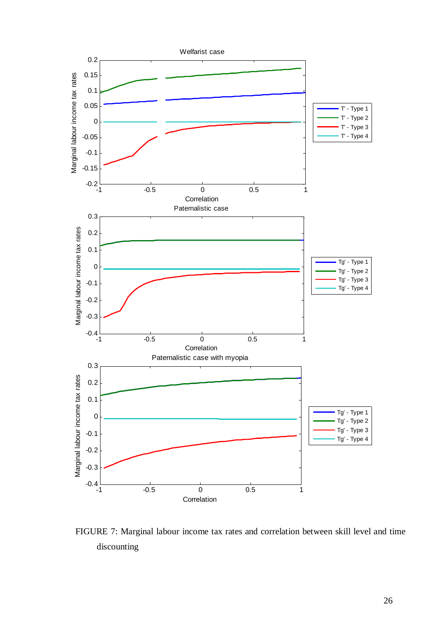

FIGURE 7: Marginal labour income tax rates and correlation between skill level and time discounting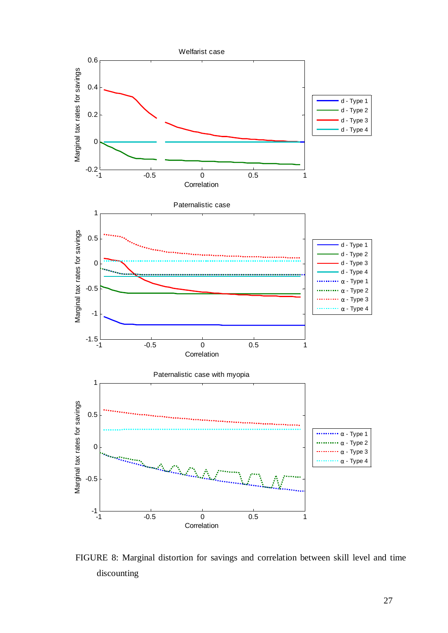

FIGURE 8: Marginal distortion for savings and correlation between skill level and time discounting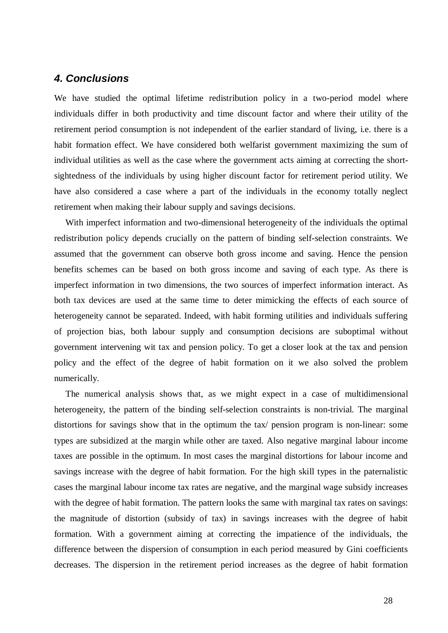## *4. Conclusions*

We have studied the optimal lifetime redistribution policy in a two-period model where individuals differ in both productivity and time discount factor and where their utility of the retirement period consumption is not independent of the earlier standard of living, i.e. there is a habit formation effect. We have considered both welfarist government maximizing the sum of individual utilities as well as the case where the government acts aiming at correcting the shortsightedness of the individuals by using higher discount factor for retirement period utility. We have also considered a case where a part of the individuals in the economy totally neglect retirement when making their labour supply and savings decisions.

 With imperfect information and two-dimensional heterogeneity of the individuals the optimal redistribution policy depends crucially on the pattern of binding self-selection constraints. We assumed that the government can observe both gross income and saving. Hence the pension benefits schemes can be based on both gross income and saving of each type. As there is imperfect information in two dimensions, the two sources of imperfect information interact. As both tax devices are used at the same time to deter mimicking the effects of each source of heterogeneity cannot be separated. Indeed, with habit forming utilities and individuals suffering of projection bias, both labour supply and consumption decisions are suboptimal without government intervening wit tax and pension policy. To get a closer look at the tax and pension policy and the effect of the degree of habit formation on it we also solved the problem numerically.

 The numerical analysis shows that, as we might expect in a case of multidimensional heterogeneity, the pattern of the binding self-selection constraints is non-trivial. The marginal distortions for savings show that in the optimum the tax/ pension program is non-linear: some types are subsidized at the margin while other are taxed. Also negative marginal labour income taxes are possible in the optimum. In most cases the marginal distortions for labour income and savings increase with the degree of habit formation. For the high skill types in the paternalistic cases the marginal labour income tax rates are negative, and the marginal wage subsidy increases with the degree of habit formation. The pattern looks the same with marginal tax rates on savings: the magnitude of distortion (subsidy of tax) in savings increases with the degree of habit formation. With a government aiming at correcting the impatience of the individuals, the difference between the dispersion of consumption in each period measured by Gini coefficients decreases. The dispersion in the retirement period increases as the degree of habit formation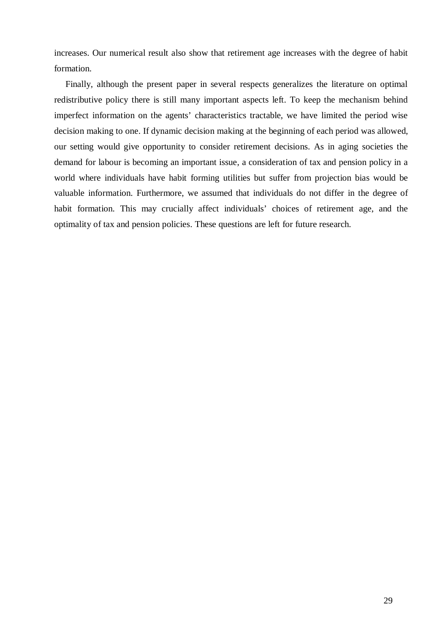increases. Our numerical result also show that retirement age increases with the degree of habit formation.

 Finally, although the present paper in several respects generalizes the literature on optimal redistributive policy there is still many important aspects left. To keep the mechanism behind imperfect information on the agents' characteristics tractable, we have limited the period wise decision making to one. If dynamic decision making at the beginning of each period was allowed, our setting would give opportunity to consider retirement decisions. As in aging societies the demand for labour is becoming an important issue, a consideration of tax and pension policy in a world where individuals have habit forming utilities but suffer from projection bias would be valuable information. Furthermore, we assumed that individuals do not differ in the degree of habit formation. This may crucially affect individuals' choices of retirement age, and the optimality of tax and pension policies. These questions are left for future research.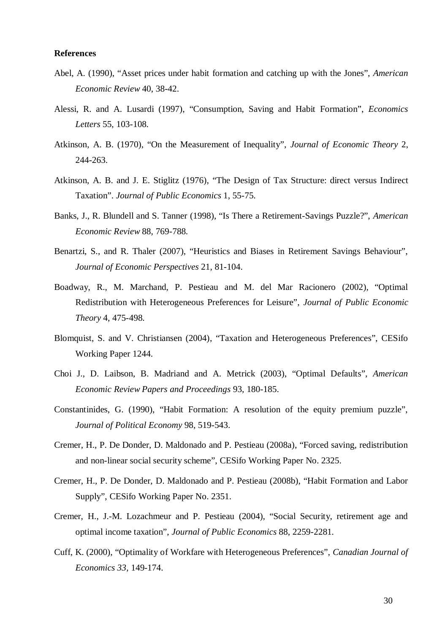#### **References**

- Abel, A. (1990), "Asset prices under habit formation and catching up with the Jones", *American Economic Review* 40, 38-42.
- Alessi, R. and A. Lusardi (1997), "Consumption, Saving and Habit Formation", *Economics Letters* 55, 103-108.
- Atkinson, A. B. (1970), "On the Measurement of Inequality", *Journal of Economic Theory* 2, 244-263.
- Atkinson, A. B. and J. E. Stiglitz (1976), "The Design of Tax Structure: direct versus Indirect Taxation". *Journal of Public Economics* 1, 55-75.
- Banks, J., R. Blundell and S. Tanner (1998), "Is There a Retirement-Savings Puzzle?", *American Economic Review* 88, 769-788.
- Benartzi, S., and R. Thaler (2007), "Heuristics and Biases in Retirement Savings Behaviour", *Journal of Economic Perspectives* 21, 81-104.
- Boadway, R., M. Marchand, P. Pestieau and M. del Mar Racionero (2002), "Optimal Redistribution with Heterogeneous Preferences for Leisure", *Journal of Public Economic Theory* 4, 475-498.
- Blomquist, S. and V. Christiansen (2004), "Taxation and Heterogeneous Preferences", CESifo Working Paper 1244.
- Choi J., D. Laibson, B. Madriand and A. Metrick (2003), "Optimal Defaults", *American Economic Review Papers and Proceedings* 93, 180-185.
- Constantinides, G. (1990), "Habit Formation: A resolution of the equity premium puzzle", *Journal of Political Economy* 98, 519-543.
- Cremer, H., P. De Donder, D. Maldonado and P. Pestieau (2008a), "Forced saving, redistribution and non-linear social security scheme", CESifo Working Paper No. 2325.
- Cremer, H., P. De Donder, D. Maldonado and P. Pestieau (2008b), "Habit Formation and Labor Supply", CESifo Working Paper No. 2351.
- Cremer, H., J.-M. Lozachmeur and P. Pestieau (2004), "Social Security, retirement age and optimal income taxation", *Journal of Public Economics* 88, 2259-2281.
- Cuff, K. (2000), "Optimality of Workfare with Heterogeneous Preferences", *Canadian Journal of Economics 33,* 149-174.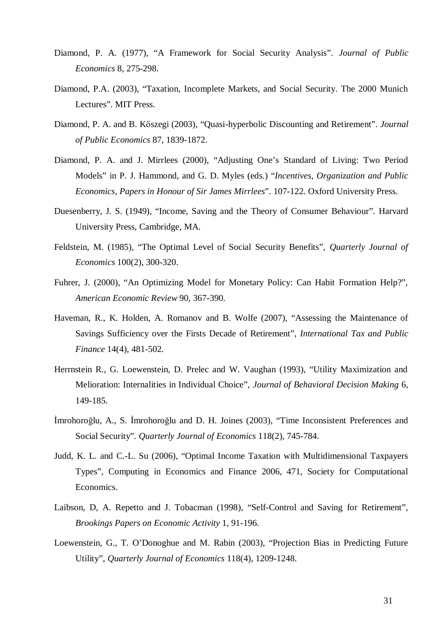- Diamond, P. A. (1977), "A Framework for Social Security Analysis". *Journal of Public Economics* 8, 275-298.
- Diamond, P.A. (2003), "Taxation, Incomplete Markets, and Social Security. The 2000 Munich Lectures". MIT Press.
- Diamond, P. A. and B. Kőszegi (2003), "Quasi-hyperbolic Discounting and Retirement". *Journal of Public Economics* 87, 1839-1872.
- Diamond, P. A. and J. Mirrlees (2000), "Adjusting One's Standard of Living: Two Period Models" in P. J. Hammond, and G. D. Myles (eds.) "*Incentives, Organization and Public Economics, Papers in Honour of Sir James Mirrlees*". 107-122. Oxford University Press.
- Duesenberry, J. S. (1949), "Income, Saving and the Theory of Consumer Behaviour". Harvard University Press, Cambridge, MA.
- Feldstein, M. (1985), "The Optimal Level of Social Security Benefits", *Quarterly Journal of Economics* 100(2), 300-320.
- Fuhrer, J. (2000), "An Optimizing Model for Monetary Policy: Can Habit Formation Help?", *American Economic Review* 90, 367-390.
- Haveman, R., K. Holden, A. Romanov and B. Wolfe (2007), "Assessing the Maintenance of Savings Sufficiency over the Firsts Decade of Retirement", *International Tax and Public Finance* 14(4), 481-502.
- Herrnstein R., G. Loewenstein, D. Prelec and W. Vaughan (1993), "Utility Maximization and Melioration: Internalities in Individual Choice", *Journal of Behavioral Decision Making* 6, 149-185.
- İmrohoroğlu, A., S. İmrohoroğlu and D. H. Joines (2003), "Time Inconsistent Preferences and Social Security". *Quarterly Journal of Economics* 118(2), 745-784.
- Judd, K. L. and C.-L. Su (2006), "Optimal Income Taxation with Multidimensional Taxpayers Types", Computing in Economics and Finance 2006, 471, Society for Computational Economics.
- Laibson, D, A. Repetto and J. Tobacman (1998), "Self-Control and Saving for Retirement", *Brookings Papers on Economic Activity* 1, 91-196.
- Loewenstein, G., T. O'Donoghue and M. Rabin (2003), "Projection Bias in Predicting Future Utility", *Quarterly Journal of Economics* 118(4), 1209-1248.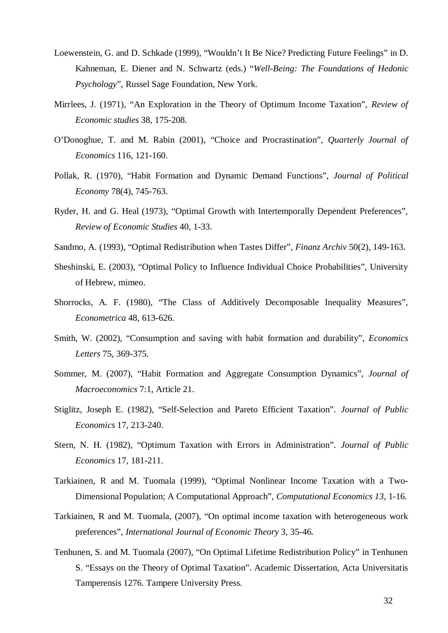- Loewenstein, G. and D. Schkade (1999), "Wouldn't It Be Nice? Predicting Future Feelings" in D. Kahneman, E. Diener and N. Schwartz (eds.) "*Well-Being: The Foundations of Hedonic Psychology*", Russel Sage Foundation, New York.
- Mirrlees, J. (1971), "An Exploration in the Theory of Optimum Income Taxation", *Review of Economic studies* 38, 175-208.
- O'Donoghue, T. and M. Rabin (2001), "Choice and Procrastination", *Quarterly Journal of Economics* 116, 121-160.
- Pollak, R. (1970), "Habit Formation and Dynamic Demand Functions", *Journal of Political Economy* 78(4), 745-763.
- Ryder, H. and G. Heal (1973), "Optimal Growth with Intertemporally Dependent Preferences", *Review of Economic Studies* 40, 1-33.
- Sandmo, A. (1993), "Optimal Redistribution when Tastes Differ", *Finanz Archiv* 50(2), 149-163.
- Sheshinski, E. (2003), "Optimal Policy to Influence Individual Choice Probabilities", University of Hebrew, mimeo.
- Shorrocks, A. F. (1980), "The Class of Additively Decomposable Inequality Measures", *Econometrica* 48, 613-626.
- Smith, W. (2002), "Consumption and saving with habit formation and durability", *Economics Letters* 75, 369-375.
- Sommer, M. (2007), "Habit Formation and Aggregate Consumption Dynamics", *Journal of Macroeconomics* 7:1, Article 21.
- Stiglitz, Joseph E. (1982), "Self-Selection and Pareto Efficient Taxation". *Journal of Public Economics* 17, 213-240.
- Stern, N. H. (1982), "Optimum Taxation with Errors in Administration". *Journal of Public Economics* 17, 181-211.
- Tarkiainen, R and M. Tuomala (1999), "Optimal Nonlinear Income Taxation with a Two-Dimensional Population; A Computational Approach", *Computational Economics 13*, 1-16.
- Tarkiainen, R and M. Tuomala, (2007), "On optimal income taxation with heterogeneous work preferences", *International Journal of Economic Theory* 3, 35-46.
- Tenhunen, S. and M. Tuomala (2007), "On Optimal Lifetime Redistribution Policy" in Tenhunen S. "Essays on the Theory of Optimal Taxation". Academic Dissertation, Acta Universitatis Tamperensis 1276. Tampere University Press.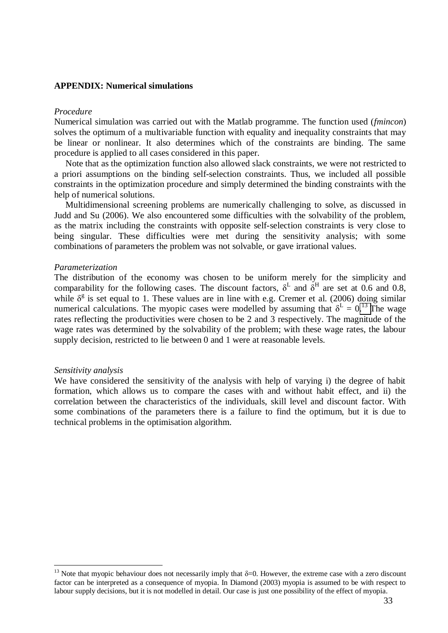#### **APPENDIX: Numerical simulations**

#### *Procedure*

Numerical simulation was carried out with the Matlab programme. The function used (*fmincon*) solves the optimum of a multivariable function with equality and inequality constraints that may be linear or nonlinear. It also determines which of the constraints are binding. The same procedure is applied to all cases considered in this paper.

 Note that as the optimization function also allowed slack constraints, we were not restricted to a priori assumptions on the binding self-selection constraints. Thus, we included all possible constraints in the optimization procedure and simply determined the binding constraints with the help of numerical solutions.

 Multidimensional screening problems are numerically challenging to solve, as discussed in Judd and Su (2006). We also encountered some difficulties with the solvability of the problem, as the matrix including the constraints with opposite self-selection constraints is very close to being singular. These difficulties were met during the sensitivity analysis; with some combinations of parameters the problem was not solvable, or gave irrational values.

#### *Parameterization*

The distribution of the economy was chosen to be uniform merely for the simplicity and comparability for the following cases. The discount factors,  $\delta^L$  and  $\delta^H$  are set at 0.6 and 0.8, while  $\delta^g$  is set equal to 1. These values are in line with e.g. Cremer et al. (2006) doing similar numerical calculations. The myopic cases were modelled by assuming that  $\delta^L = 0$ .<sup>[13](#page-34-0)</sup> The wage rates reflecting the productivities were chosen to be 2 and 3 respectively. The magnitude of the wage rates was determined by the solvability of the problem; with these wage rates, the labour supply decision, restricted to lie between 0 and 1 were at reasonable levels.

#### *Sensitivity analysis*

We have considered the sensitivity of the analysis with help of varying i) the degree of habit formation, which allows us to compare the cases with and without habit effect, and ii) the correlation between the characteristics of the individuals, skill level and discount factor. With some combinations of the parameters there is a failure to find the optimum, but it is due to technical problems in the optimisation algorithm.

<span id="page-34-0"></span><sup>&</sup>lt;sup>13</sup> Note that myopic behaviour does not necessarily imply that  $\delta$ =0. However, the extreme case with a zero discount factor can be interpreted as a consequence of myopia. In Diamond (2003) myopia is assumed to be with respect to labour supply decisions, but it is not modelled in detail. Our case is just one possibility of the effect of myopia.